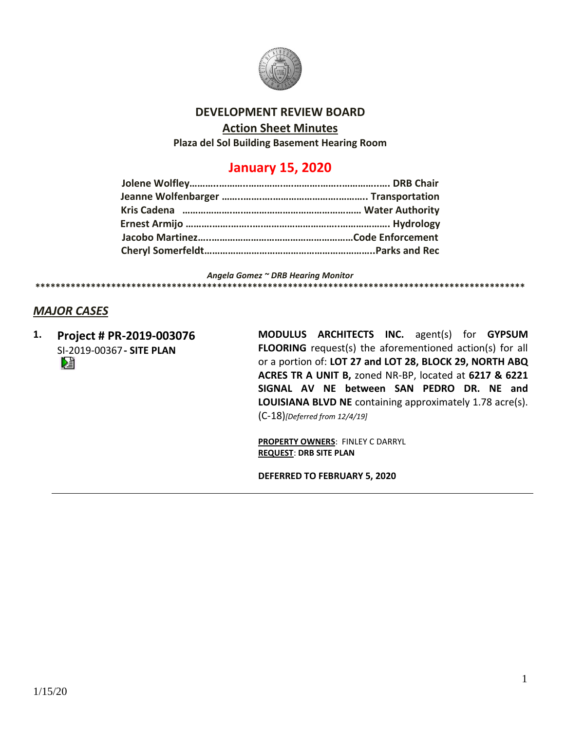

# **DEVELOPMENT REVIEW BOARD**

#### **Action Sheet Minutes**

**Plaza del Sol Building Basement Hearing Room**

# **January 15, 2020**

*Angela Gomez ~ DRB Hearing Monitor* **\*\*\*\*\*\*\*\*\*\*\*\*\*\*\*\*\*\*\*\*\*\*\*\*\*\*\*\*\*\*\*\*\*\*\*\*\*\*\*\*\*\*\*\*\*\*\*\*\*\*\*\*\*\*\*\*\*\*\*\*\*\*\*\*\*\*\*\*\*\*\*\*\*\*\*\*\*\*\*\*\*\*\*\*\*\*\*\*\*\*\*\*\*\*\*\*\***

# *MAJOR CASES*

**1. Project # PR-2019-003076** SI-2019-00367**- SITE PLAN**

**MODULUS ARCHITECTS INC.** agent(s) for **GYPSUM FLOORING** request(s) the aforementioned action(s) for all or a portion of: **LOT 27 and LOT 28, BLOCK 29, NORTH ABQ ACRES TR A UNIT B,** zoned NR-BP, located at **6217 & 6221 SIGNAL AV NE between SAN PEDRO DR. NE and LOUISIANA BLVD NE** containing approximately 1.78 acre(s). (C-18)*[Deferred from 12/4/19]*

**PROPERTY OWNERS**: FINLEY C DARRYL **REQUEST**: **DRB SITE PLAN**

**DEFERRED TO FEBRUARY 5, 2020**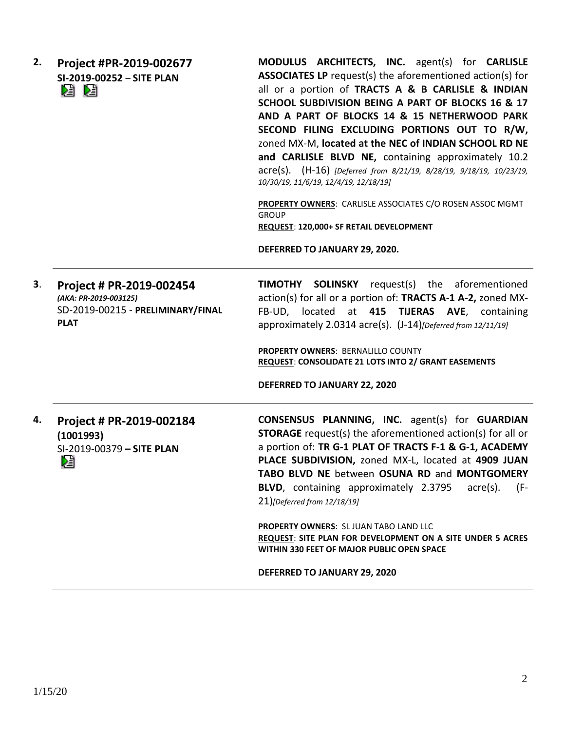| 2. | Project #PR-2019-002677<br>SI-2019-00252 - SITE PLAN<br>ei d                                          | MODULUS ARCHITECTS, INC. agent(s) for CARLISLE<br><b>ASSOCIATES LP</b> request(s) the aforementioned action(s) for<br>all or a portion of TRACTS A & B CARLISLE & INDIAN<br>SCHOOL SUBDIVISION BEING A PART OF BLOCKS 16 & 17<br>AND A PART OF BLOCKS 14 & 15 NETHERWOOD PARK<br>SECOND FILING EXCLUDING PORTIONS OUT TO R/W,<br>zoned MX-M, located at the NEC of INDIAN SCHOOL RD NE<br>and CARLISLE BLVD NE, containing approximately 10.2<br>acre(s). (H-16) [Deferred from 8/21/19, 8/28/19, 9/18/19, 10/23/19,<br>10/30/19, 11/6/19, 12/4/19, 12/18/19]<br>PROPERTY OWNERS: CARLISLE ASSOCIATES C/O ROSEN ASSOC MGMT<br><b>GROUP</b><br>REQUEST: 120,000+ SF RETAIL DEVELOPMENT<br>DEFERRED TO JANUARY 29, 2020. |
|----|-------------------------------------------------------------------------------------------------------|------------------------------------------------------------------------------------------------------------------------------------------------------------------------------------------------------------------------------------------------------------------------------------------------------------------------------------------------------------------------------------------------------------------------------------------------------------------------------------------------------------------------------------------------------------------------------------------------------------------------------------------------------------------------------------------------------------------------|
| 3. | Project # PR-2019-002454<br>(AKA: PR-2019-003125)<br>SD-2019-00215 - PRELIMINARY/FINAL<br><b>PLAT</b> | <b>TIMOTHY SOLINSKY</b> request(s) the aforementioned<br>action(s) for all or a portion of: TRACTS A-1 A-2, zoned MX-<br>FB-UD, located at 415 TIJERAS AVE, containing<br>approximately 2.0314 acre(s). (J-14) [Deferred from 12/11/19]<br><b>PROPERTY OWNERS: BERNALILLO COUNTY</b><br>REQUEST: CONSOLIDATE 21 LOTS INTO 2/ GRANT EASEMENTS<br>DEFERRED TO JANUARY 22, 2020                                                                                                                                                                                                                                                                                                                                           |
| 4. | Project # PR-2019-002184<br>(1001993)<br>SI-2019-00379 - SITE PLAN<br>嗜                               | <b>CONSENSUS PLANNING, INC.</b> agent(s) for <b>GUARDIAN</b><br><b>STORAGE</b> request(s) the aforementioned action(s) for all or<br>a portion of: TR G-1 PLAT OF TRACTS F-1 & G-1, ACADEMY<br>PLACE SUBDIVISION, zoned MX-L, located at 4909 JUAN<br>TABO BLVD NE between OSUNA RD and MONTGOMERY<br><b>BLVD,</b> containing approximately 2.3795<br>(F-<br>acre(s).<br>21) [Deferred from 12/18/19]                                                                                                                                                                                                                                                                                                                  |
|    |                                                                                                       | <b>PROPERTY OWNERS: SL JUAN TABO LAND LLC</b><br>REQUEST: SITE PLAN FOR DEVELOPMENT ON A SITE UNDER 5 ACRES<br>WITHIN 330 FEET OF MAJOR PUBLIC OPEN SPACE                                                                                                                                                                                                                                                                                                                                                                                                                                                                                                                                                              |

**DEFERRED TO JANUARY 29, 2020**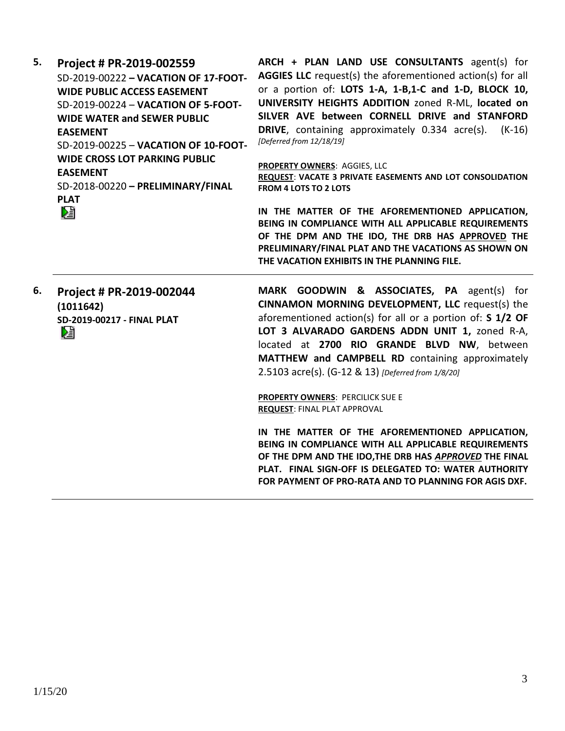| 5. | Project # PR-2019-002559<br>SD-2019-00222 - VACATION OF 17-FOOT-<br><b>WIDE PUBLIC ACCESS EASEMENT</b><br>SD-2019-00224 - VACATION OF 5-FOOT-<br><b>WIDE WATER and SEWER PUBLIC</b><br><b>EASEMENT</b><br>SD-2019-00225 - VACATION OF 10-FOOT- | ARCH + PLAN LAND USE CONSULTANTS agent(s) for<br>AGGIES LLC request(s) the aforementioned action(s) for all<br>or a portion of: LOTS 1-A, 1-B,1-C and 1-D, BLOCK 10,<br>UNIVERSITY HEIGHTS ADDITION zoned R-ML, located on<br>SILVER AVE between CORNELL DRIVE and STANFORD<br>DRIVE, containing approximately 0.334 acre(s).<br>$(K-16)$<br>[Deferred from 12/18/19]          |
|----|------------------------------------------------------------------------------------------------------------------------------------------------------------------------------------------------------------------------------------------------|--------------------------------------------------------------------------------------------------------------------------------------------------------------------------------------------------------------------------------------------------------------------------------------------------------------------------------------------------------------------------------|
|    | <b>WIDE CROSS LOT PARKING PUBLIC</b><br><b>EASEMENT</b><br>SD-2018-00220 - PRELIMINARY/FINAL<br><b>PLAT</b>                                                                                                                                    | PROPERTY OWNERS: AGGIES, LLC<br>REQUEST: VACATE 3 PRIVATE EASEMENTS AND LOT CONSOLIDATION<br><b>FROM 4 LOTS TO 2 LOTS</b>                                                                                                                                                                                                                                                      |
|    | 妇                                                                                                                                                                                                                                              | IN THE MATTER OF THE AFOREMENTIONED APPLICATION,<br>BEING IN COMPLIANCE WITH ALL APPLICABLE REQUIREMENTS<br>OF THE DPM AND THE IDO, THE DRB HAS APPROVED THE<br>PRELIMINARY/FINAL PLAT AND THE VACATIONS AS SHOWN ON<br>THE VACATION EXHIBITS IN THE PLANNING FILE.                                                                                                            |
| 6. | Project # PR-2019-002044<br>(1011642)<br>SD-2019-00217 - FINAL PLAT<br>V                                                                                                                                                                       | MARK GOODWIN & ASSOCIATES, PA agent(s) for<br><b>CINNAMON MORNING DEVELOPMENT, LLC request(s) the</b><br>aforementioned action(s) for all or a portion of: S 1/2 OF<br>LOT 3 ALVARADO GARDENS ADDN UNIT 1, zoned R-A,<br>located at 2700 RIO GRANDE BLVD NW, between<br>MATTHEW and CAMPBELL RD containing approximately<br>2.5103 acre(s). (G-12 & 13) [Deferred from 1/8/20] |
|    |                                                                                                                                                                                                                                                | <b>PROPERTY OWNERS: PERCILICK SUE E</b><br><b>REQUEST: FINAL PLAT APPROVAL</b>                                                                                                                                                                                                                                                                                                 |
|    |                                                                                                                                                                                                                                                | IN THE MATTER OF THE AFOREMENTIONED APPLICATION,<br>BEING IN COMPLIANCE WITH ALL APPLICABLE REQUIREMENTS<br>OF THE DPM AND THE IDO, THE DRB HAS APPROVED THE FINAL<br>PLAT. FINAL SIGN-OFF IS DELEGATED TO: WATER AUTHORITY<br>FOR PAYMENT OF PRO-RATA AND TO PLANNING FOR AGIS DXF.                                                                                           |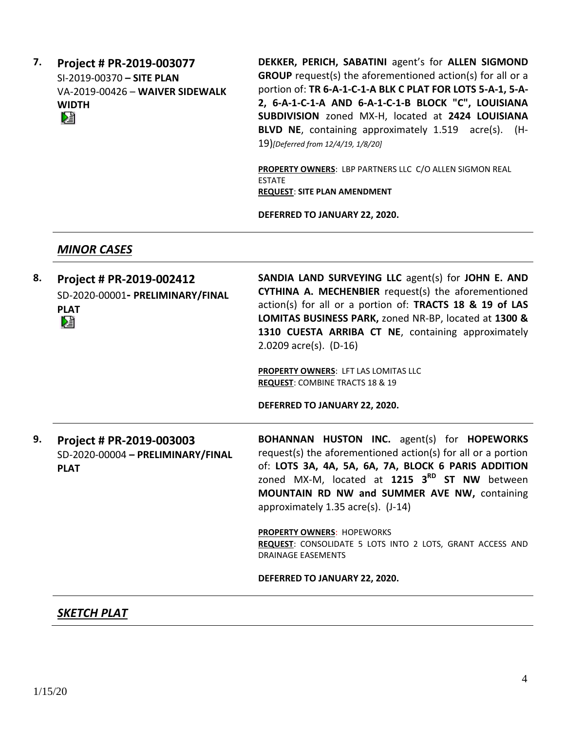**7. Project # PR-2019-003077** SI-2019-00370 **– SITE PLAN** VA-2019-00426 – **WAIVER SIDEWALK WIDTH** 

**DEKKER, PERICH, SABATINI** agent's for **ALLEN SIGMOND GROUP** request(s) the aforementioned action(s) for all or a portion of: **TR 6-A-1-C-1-A BLK C PLAT FOR LOTS 5-A-1, 5-A-2, 6-A-1-C-1-A AND 6-A-1-C-1-B BLOCK "C", LOUISIANA SUBDIVISION** zoned MX-H, located at **2424 LOUISIANA BLVD NE**, containing approximately 1.519 acre(s). (H-19)*[Deferred from 12/4/19, 1/8/20]*

**PROPERTY OWNERS**: LBP PARTNERS LLC C/O ALLEN SIGMON REAL ESTATE **REQUEST**: **SITE PLAN AMENDMENT**

**DEFERRED TO JANUARY 22, 2020.**

#### *MINOR CASES*

| 8. | Project # PR-2019-002412<br>SD-2020-00001- PRELIMINARY/FINAL<br><b>PLAT</b><br>V | SANDIA LAND SURVEYING LLC agent(s) for JOHN E. AND<br>CYTHINA A. MECHENBIER request(s) the aforementioned<br>action(s) for all or a portion of: <b>TRACTS 18 &amp; 19 of LAS</b><br>LOMITAS BUSINESS PARK, zoned NR-BP, located at 1300 &<br>1310 CUESTA ARRIBA CT NE, containing approximately<br>2.0209 $\arccos 2$ (D-16)<br>PROPERTY OWNERS: LFT LAS LOMITAS LLC<br><b>REQUEST: COMBINE TRACTS 18 &amp; 19</b> |
|----|----------------------------------------------------------------------------------|--------------------------------------------------------------------------------------------------------------------------------------------------------------------------------------------------------------------------------------------------------------------------------------------------------------------------------------------------------------------------------------------------------------------|
|    |                                                                                  | DEFERRED TO JANUARY 22, 2020.                                                                                                                                                                                                                                                                                                                                                                                      |
| 9. | Project # PR-2019-003003<br>SD-2020-00004 - PRELIMINARY/FINAL<br><b>PLAT</b>     | <b>BOHANNAN HUSTON INC.</b> agent(s) for <b>HOPEWORKS</b><br>request(s) the aforementioned action(s) for all or a portion<br>of: LOTS 3A, 4A, 5A, 6A, 7A, BLOCK 6 PARIS ADDITION<br>zoned MX-M, located at 1215 3 <sup>RD</sup> ST NW between<br>MOUNTAIN RD NW and SUMMER AVE NW, containing<br>approximately 1.35 acre(s). (J-14)                                                                                |
|    |                                                                                  | <b>PROPERTY OWNERS: HOPEWORKS</b><br>REQUEST: CONSOLIDATE 5 LOTS INTO 2 LOTS, GRANT ACCESS AND<br><b>DRAINAGE EASEMENTS</b>                                                                                                                                                                                                                                                                                        |
|    |                                                                                  | DEFERRED TO JANUARY 22, 2020.                                                                                                                                                                                                                                                                                                                                                                                      |
|    |                                                                                  |                                                                                                                                                                                                                                                                                                                                                                                                                    |

# *SKETCH PLAT*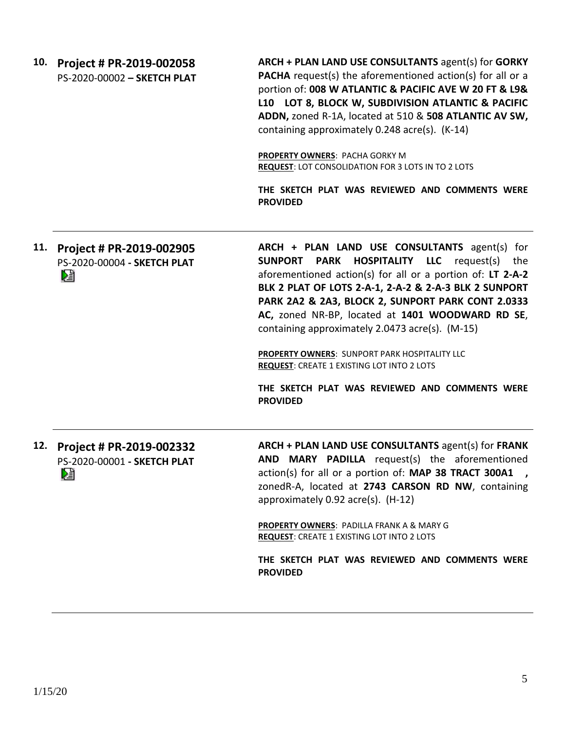| 10. | Project # PR-2019-002058<br>PS-2020-00002 - SKETCH PLAT      | ARCH + PLAN LAND USE CONSULTANTS agent(s) for GORKY<br>PACHA request(s) the aforementioned action(s) for all or a<br>portion of: 008 W ATLANTIC & PACIFIC AVE W 20 FT & L9&<br>L10 LOT 8, BLOCK W, SUBDIVISION ATLANTIC & PACIFIC<br>ADDN, zoned R-1A, located at 510 & 508 ATLANTIC AV SW,<br>containing approximately 0.248 acre(s). (K-14)<br>PROPERTY OWNERS: PACHA GORKY M<br><b>REQUEST: LOT CONSOLIDATION FOR 3 LOTS IN TO 2 LOTS</b><br>THE SKETCH PLAT WAS REVIEWED AND COMMENTS WERE<br><b>PROVIDED</b>                                                              |
|-----|--------------------------------------------------------------|--------------------------------------------------------------------------------------------------------------------------------------------------------------------------------------------------------------------------------------------------------------------------------------------------------------------------------------------------------------------------------------------------------------------------------------------------------------------------------------------------------------------------------------------------------------------------------|
| 11. | Project # PR-2019-002905<br>PS-2020-00004 - SKETCH PLAT<br>V | ARCH + PLAN LAND USE CONSULTANTS agent(s) for<br><b>PARK HOSPITALITY LLC</b> request(s)<br><b>SUNPORT</b><br>the<br>aforementioned action(s) for all or a portion of: LT 2-A-2<br>BLK 2 PLAT OF LOTS 2-A-1, 2-A-2 & 2-A-3 BLK 2 SUNPORT<br>PARK 2A2 & 2A3, BLOCK 2, SUNPORT PARK CONT 2.0333<br>AC, zoned NR-BP, located at 1401 WOODWARD RD SE,<br>containing approximately 2.0473 acre(s). (M-15)<br>PROPERTY OWNERS: SUNPORT PARK HOSPITALITY LLC<br><b>REQUEST: CREATE 1 EXISTING LOT INTO 2 LOTS</b><br>THE SKETCH PLAT WAS REVIEWED AND COMMENTS WERE<br><b>PROVIDED</b> |
| 12. | Project # PR-2019-002332<br>PS-2020-00001 - SKETCH PLAT<br>阻 | ARCH + PLAN LAND USE CONSULTANTS agent(s) for FRANK<br>AND MARY PADILLA request(s) the aforementioned<br>action(s) for all or a portion of: MAP 38 TRACT 300A1<br>zonedR-A, located at 2743 CARSON RD NW, containing<br>approximately 0.92 acre(s). (H-12)<br>PROPERTY OWNERS: PADILLA FRANK A & MARY G<br>REQUEST: CREATE 1 EXISTING LOT INTO 2 LOTS<br>THE SKETCH PLAT WAS REVIEWED AND COMMENTS WERE<br><b>PROVIDED</b>                                                                                                                                                     |